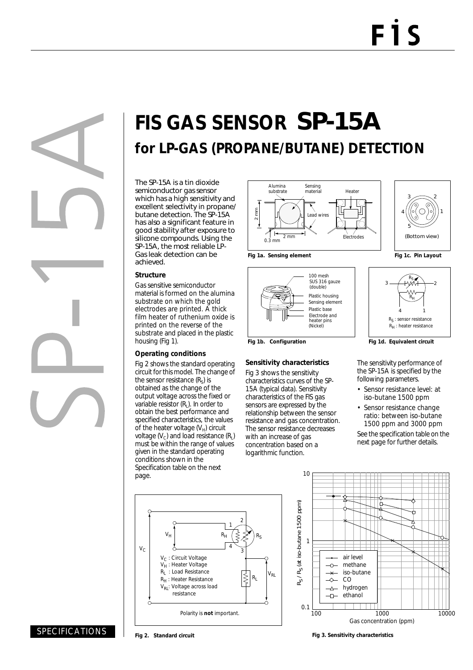# **FIS GAS SENSOR** SP-15A **for LP-GAS (PROPANE/BUTANE) DETECTION**

The SP-15A is a tin dioxide semiconductor gas sensor which has a high sensitivity and excellent selectivity in propane/ butane detection. The SP-15A has also a significant feature in good stability after exposure to silicone compounds. Using the SP-15A, the most reliable LP-Gas leak detection can be achieved.

#### **Structure**

Gas sensitive semiconductor material is formed on the alumina substrate on which the gold electrodes are printed. A thick film heater of ruthenium oxide is printed on the reverse of the substrate and placed in the plastic housing (Fig 1).

### **Operating conditions**

Fig 2 shows the standard operating circuit for this model. The change of the sensor resistance  $(R_s)$  is obtained as the change of the output voltage across the fixed or variable resistor  $(R<sub>1</sub>)$ . In order to obtain the best performance and specified characteristics, the values of the heater voltage  $(V_H)$  circuit voltage ( $V_c$ ) and load resistance ( $R_l$ ) must be within the range of values given in the standard operating conditions shown in the Specification table on the next page.





Electrode and (Nickel)

heater pins

**Sensitivity characteristics** Fig 3 shows the sensitivity characteristics curves of the SP-15A (typical data). Sensitivity characteristics of the FIS gas sensors are expressed by the relationship between the sensor resistance and gas concentration. The sensor resistance decreases with an increase of gas concentration based on a logarithmic function.

Plastic base





Fig 1b. Configuration **Fig 1d. Equivalent circuit** 

The sensitivity performance of the SP-15A is specified by the following parameters.

- Sensor resistance level: at iso-butane 1500 ppm
- Sensor resistance change ratio: between iso-butane 1500 ppm and 3000 ppm

See the specification table on the next page for further details.





## SPECIFICATIONS

**Fig 3. Sensitivity characteristics**